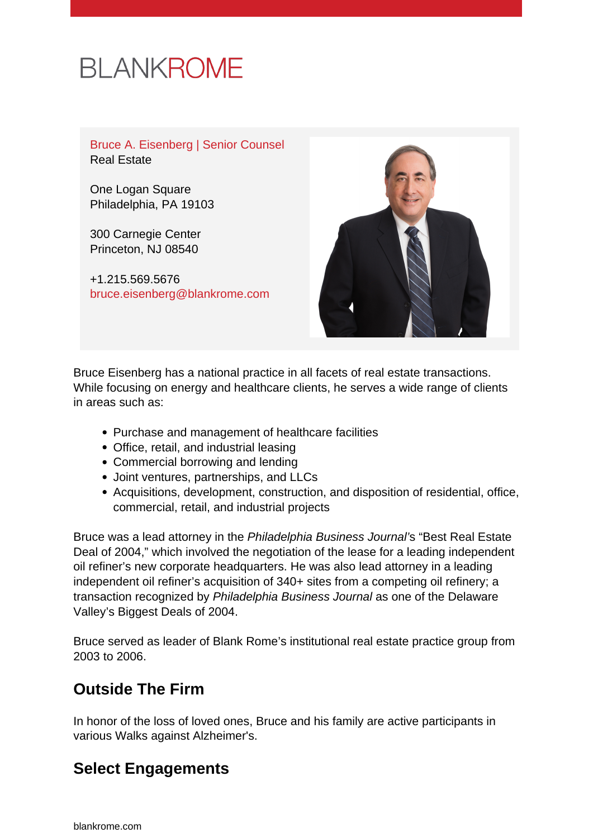# **BLANKROME**

Bruce A. Eisenberg | Senior Counsel Real Estate

One Logan Square Philadelphia, PA 19103

300 Carnegie Center Princeton, NJ 08540

+1.215.569.5676 [bruce.eisenberg@blankrome.com](mailto:bruce.eisenberg@blankrome.com)



Bruce Eisenberg has a national practice in all facets of real estate transactions. While focusing on energy and healthcare clients, he serves a wide range of clients in areas such as:

- Purchase and management of healthcare facilities
- Office, retail, and industrial leasing
- Commercial borrowing and lending
- Joint ventures, partnerships, and LLCs
- Acquisitions, development, construction, and disposition of residential, office, commercial, retail, and industrial projects

Bruce was a lead attorney in the Philadelphia Business Journal's "Best Real Estate Deal of 2004," which involved the negotiation of the lease for a leading independent oil refiner's new corporate headquarters. He was also lead attorney in a leading independent oil refiner's acquisition of 340+ sites from a competing oil refinery; a transaction recognized by Philadelphia Business Journal as one of the Delaware Valley's Biggest Deals of 2004.

Bruce served as leader of Blank Rome's institutional real estate practice group from 2003 to 2006.

# **Outside The Firm**

In honor of the loss of loved ones, Bruce and his family are active participants in various Walks against Alzheimer's.

# **Select Engagements**

[blankrome.com](https://www.blankrome.com)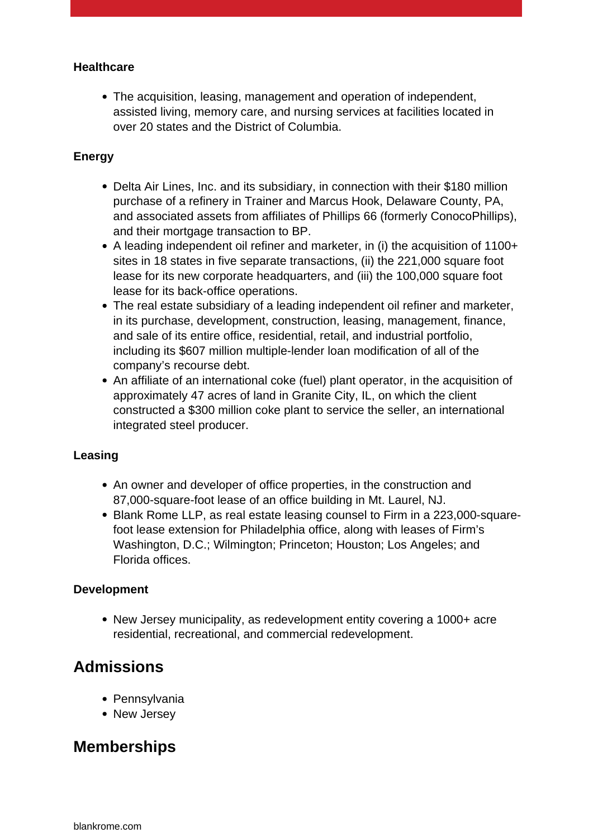#### **Healthcare**

The acquisition, leasing, management and operation of independent, assisted living, memory care, and nursing services at facilities located in over 20 states and the District of Columbia.

#### **Energy**

- Delta Air Lines, Inc. and its subsidiary, in connection with their \$180 million purchase of a refinery in Trainer and Marcus Hook, Delaware County, PA, and associated assets from affiliates of Phillips 66 (formerly ConocoPhillips), and their mortgage transaction to BP.
- A leading independent oil refiner and marketer, in (i) the acquisition of 1100+ sites in 18 states in five separate transactions, (ii) the 221,000 square foot lease for its new corporate headquarters, and (iii) the 100,000 square foot lease for its back-office operations.
- The real estate subsidiary of a leading independent oil refiner and marketer, in its purchase, development, construction, leasing, management, finance, and sale of its entire office, residential, retail, and industrial portfolio, including its \$607 million multiple-lender loan modification of all of the company's recourse debt.
- An affiliate of an international coke (fuel) plant operator, in the acquisition of approximately 47 acres of land in Granite City, IL, on which the client constructed a \$300 million coke plant to service the seller, an international integrated steel producer.

#### **Leasing**

- An owner and developer of office properties, in the construction and 87,000-square-foot lease of an office building in Mt. Laurel, NJ.
- Blank Rome LLP, as real estate leasing counsel to Firm in a 223,000-squarefoot lease extension for Philadelphia office, along with leases of Firm's Washington, D.C.; Wilmington; Princeton; Houston; Los Angeles; and Florida offices.

#### **Development**

• New Jersey municipality, as redevelopment entity covering a 1000+ acre residential, recreational, and commercial redevelopment.

### **Admissions**

- Pennsylvania
- New Jersey

# **Memberships**